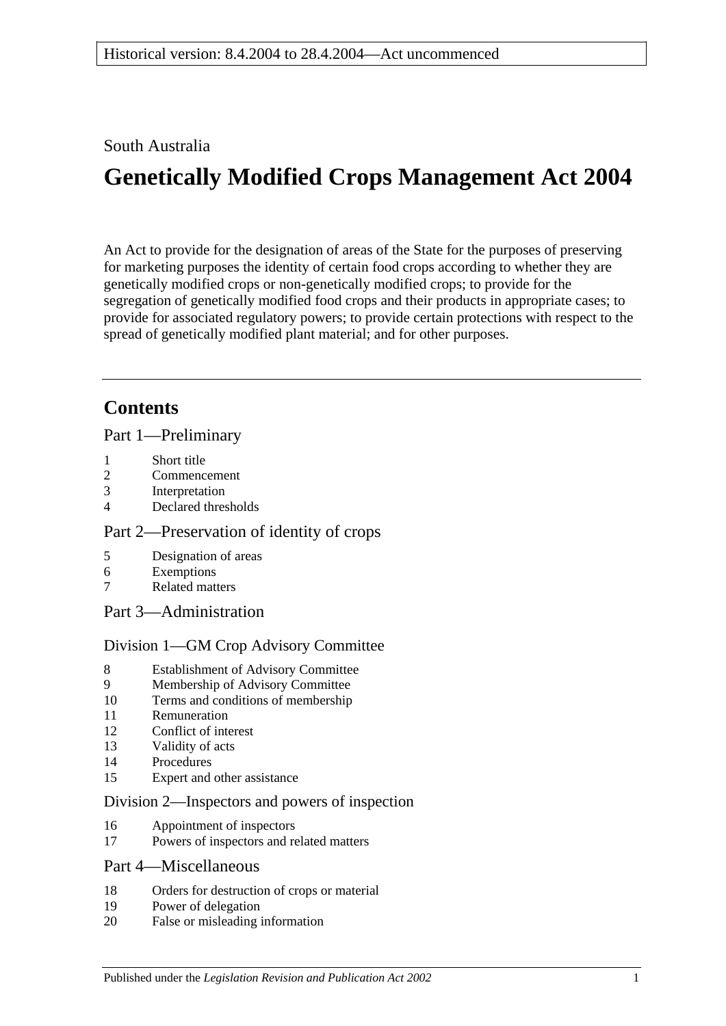### South Australia

# **Genetically Modified Crops Management Act 2004**

An Act to provide for the designation of areas of the State for the purposes of preserving for marketing purposes the identity of certain food crops according to whether they are genetically modified crops or non-genetically modified crops; to provide for the segregation of genetically modified food crops and their products in appropriate cases; to provide for associated regulatory powers; to provide certain protections with respect to the spread of genetically modified plant material; and for other purposes.

# **Contents**

[Part 1—Preliminary](#page-1-0)

- 1 [Short title](#page-1-1)
- 2 [Commencement](#page-1-2)
- 3 [Interpretation](#page-1-3)
- 4 [Declared thresholds](#page-3-0)

### [Part 2—Preservation of identity of crops](#page-3-1)

- 5 [Designation of areas](#page-3-2)
- 6 [Exemptions](#page-5-0)
- 7 [Related matters](#page-6-0)
- [Part 3—Administration](#page-6-1)

### [Division 1—GM Crop Advisory Committee](#page-6-2)

- 8 [Establishment of Advisory Committee](#page-6-3)
- 9 [Membership of Advisory Committee](#page-6-4)
- 10 [Terms and conditions of membership](#page-7-0)
- 11 [Remuneration](#page-8-0)
- 12 [Conflict of interest](#page-8-1)
- 13 [Validity of acts](#page-8-2)
- 14 [Procedures](#page-8-3)
- 15 [Expert and other assistance](#page-9-0)

### [Division 2—Inspectors and powers of inspection](#page-9-1)

- 16 [Appointment of inspectors](#page-9-2)
- 17 [Powers of inspectors and related matters](#page-10-0)

### [Part 4—Miscellaneous](#page-10-1)

- 18 [Orders for destruction of crops or material](#page-10-2)
- 19 [Power of delegation](#page-11-0)
- 20 [False or misleading information](#page-11-1)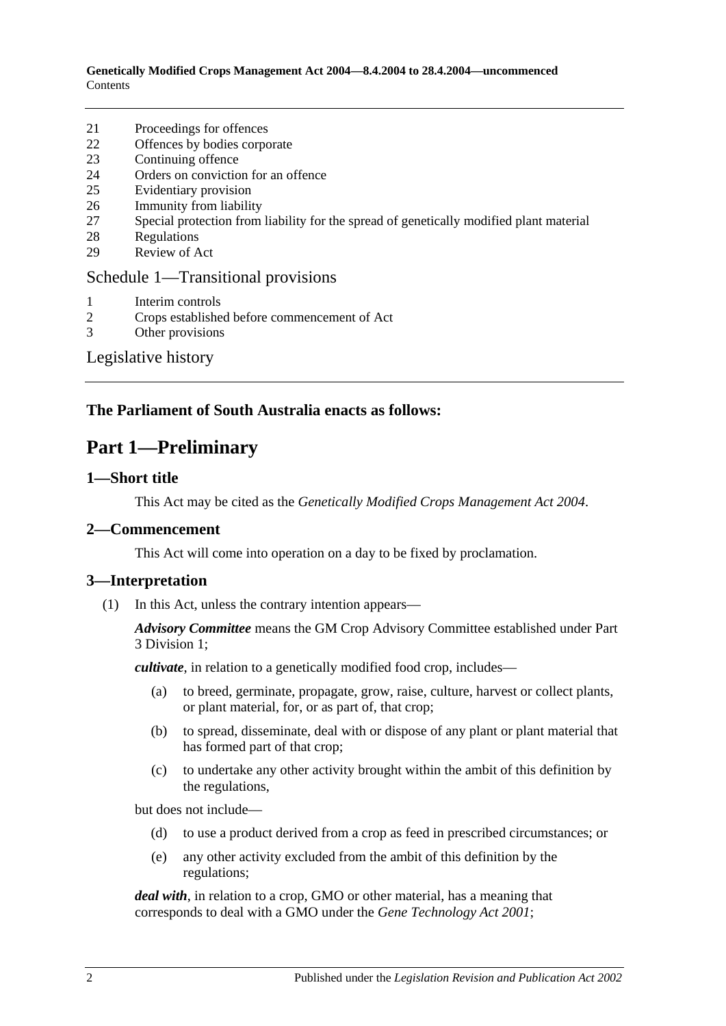**Genetically Modified Crops Management Act 2004—8.4.2004 to 28.4.2004—uncommenced Contents** 

- 21 [Proceedings for offences](#page-11-2)
- 22 [Offences by bodies corporate](#page-11-3)
- 23 [Continuing offence](#page-12-0)
- 24 [Orders on conviction for an offence](#page-12-1)
- 25 [Evidentiary provision](#page-13-0)
- 26 [Immunity from liability](#page-13-1)
- 27 [Special protection from liability for the spread of genetically modified plant material](#page-13-2)
- 28 [Regulations](#page-14-0)
- 29 [Review of Act](#page-15-0)

#### [Schedule 1—Transitional provisions](#page-15-1)

- 1 [Interim controls](#page-15-2)<br>2 Crops establishe
- 2 [Crops established before commencement of Act](#page-15-3)
- 3 [Other provisions](#page-15-4)

[Legislative history](#page-17-0)

### <span id="page-1-0"></span>**The Parliament of South Australia enacts as follows:**

### **Part 1—Preliminary**

#### <span id="page-1-1"></span>**1—Short title**

This Act may be cited as the *Genetically Modified Crops Management Act 2004*.

#### <span id="page-1-2"></span>**2—Commencement**

This Act will come into operation on a day to be fixed by proclamation.

#### <span id="page-1-3"></span>**3—Interpretation**

(1) In this Act, unless the contrary intention appears—

*Advisory Committee* means the GM Crop Advisory Committee established under [Part](#page-6-2)  [3 Division 1;](#page-6-2)

*cultivate*, in relation to a genetically modified food crop, includes—

- (a) to breed, germinate, propagate, grow, raise, culture, harvest or collect plants, or plant material, for, or as part of, that crop;
- (b) to spread, disseminate, deal with or dispose of any plant or plant material that has formed part of that crop;
- (c) to undertake any other activity brought within the ambit of this definition by the regulations,

but does not include—

- (d) to use a product derived from a crop as feed in prescribed circumstances; or
- (e) any other activity excluded from the ambit of this definition by the regulations;

*deal with*, in relation to a crop, GMO or other material, has a meaning that corresponds to deal with a GMO under the *[Gene Technology Act](http://www.legislation.sa.gov.au/index.aspx?action=legref&type=act&legtitle=Gene%20Technology%20Act%202001) 2001*;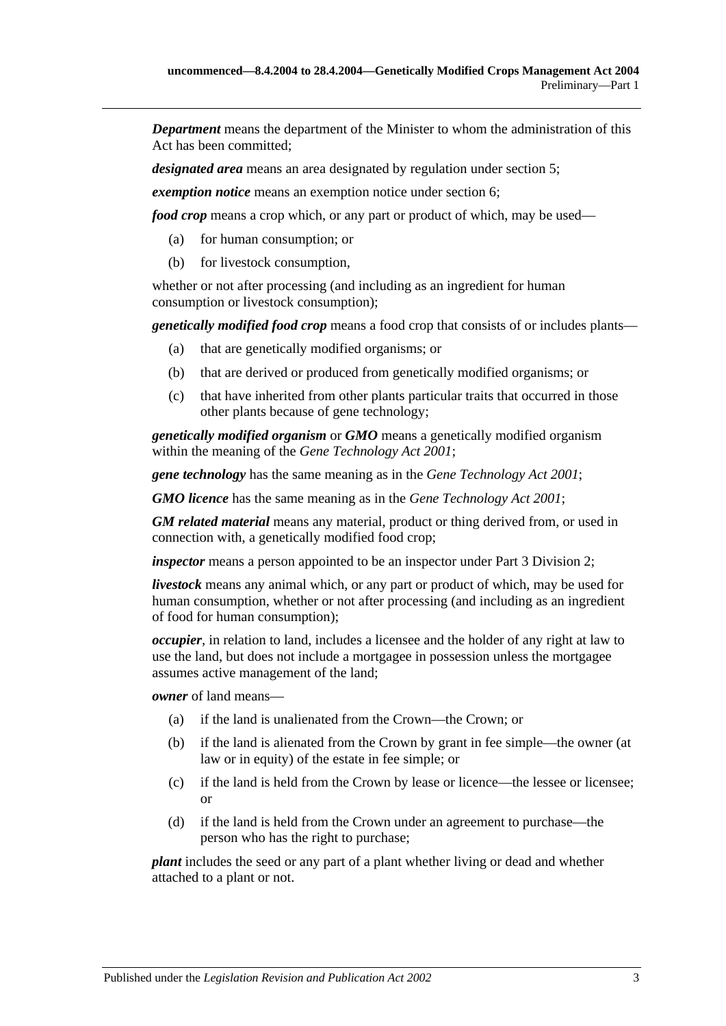*Department* means the department of the Minister to whom the administration of this Act has been committed;

*designated area* means an area designated by regulation under [section](#page-3-2) 5;

*exemption notice* means an exemption notice under [section](#page-5-0) 6;

*food crop* means a crop which, or any part or product of which, may be used—

- (a) for human consumption; or
- (b) for livestock consumption,

whether or not after processing (and including as an ingredient for human consumption or livestock consumption);

*genetically modified food crop* means a food crop that consists of or includes plants—

- (a) that are genetically modified organisms; or
- (b) that are derived or produced from genetically modified organisms; or
- (c) that have inherited from other plants particular traits that occurred in those other plants because of gene technology;

*genetically modified organism* or *GMO* means a genetically modified organism within the meaning of the *[Gene Technology Act](http://www.legislation.sa.gov.au/index.aspx?action=legref&type=act&legtitle=Gene%20Technology%20Act%202001) 2001*;

*gene technology* has the same meaning as in the *[Gene Technology Act](http://www.legislation.sa.gov.au/index.aspx?action=legref&type=act&legtitle=Gene%20Technology%20Act%202001) 2001*;

*GMO licence* has the same meaning as in the *[Gene Technology Act](http://www.legislation.sa.gov.au/index.aspx?action=legref&type=act&legtitle=Gene%20Technology%20Act%202001) 2001*;

*GM related material* means any material, product or thing derived from, or used in connection with, a genetically modified food crop;

*inspector* means a person appointed to be an inspector under [Part 3 Division 2;](#page-9-1)

*livestock* means any animal which, or any part or product of which, may be used for human consumption, whether or not after processing (and including as an ingredient of food for human consumption);

*occupier*, in relation to land, includes a licensee and the holder of any right at law to use the land, but does not include a mortgagee in possession unless the mortgagee assumes active management of the land;

*owner* of land means—

- (a) if the land is unalienated from the Crown—the Crown; or
- (b) if the land is alienated from the Crown by grant in fee simple—the owner (at law or in equity) of the estate in fee simple; or
- (c) if the land is held from the Crown by lease or licence—the lessee or licensee; or
- (d) if the land is held from the Crown under an agreement to purchase—the person who has the right to purchase;

*plant* includes the seed or any part of a plant whether living or dead and whether attached to a plant or not.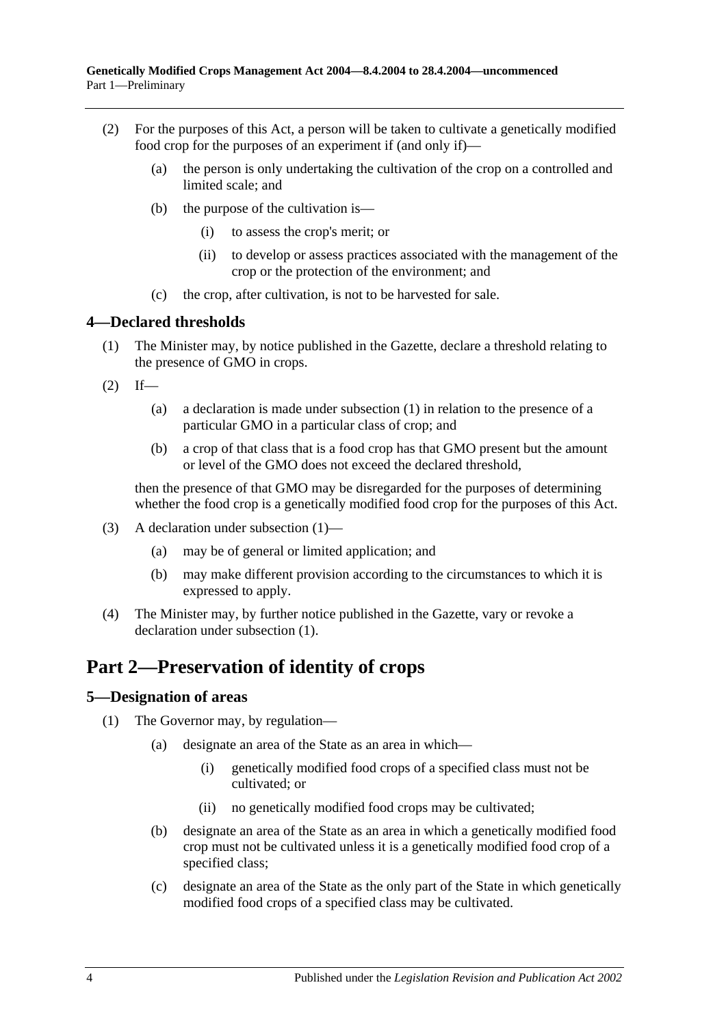- (2) For the purposes of this Act, a person will be taken to cultivate a genetically modified food crop for the purposes of an experiment if (and only if)—
	- (a) the person is only undertaking the cultivation of the crop on a controlled and limited scale; and
	- (b) the purpose of the cultivation is—
		- (i) to assess the crop's merit; or
		- (ii) to develop or assess practices associated with the management of the crop or the protection of the environment; and
	- (c) the crop, after cultivation, is not to be harvested for sale.

#### <span id="page-3-3"></span><span id="page-3-0"></span>**4—Declared thresholds**

- (1) The Minister may, by notice published in the Gazette, declare a threshold relating to the presence of GMO in crops.
- $(2)$  If—
	- (a) a declaration is made under subsection (1) in relation to the presence of a particular GMO in a particular class of crop; and
	- (b) a crop of that class that is a food crop has that GMO present but the amount or level of the GMO does not exceed the declared threshold,

then the presence of that GMO may be disregarded for the purposes of determining whether the food crop is a genetically modified food crop for the purposes of this Act.

- (3) A declaration under [subsection](#page-3-3) (1)—
	- (a) may be of general or limited application; and
	- (b) may make different provision according to the circumstances to which it is expressed to apply.
- (4) The Minister may, by further notice published in the Gazette, vary or revoke a declaration under [subsection](#page-3-3) (1).

# <span id="page-3-1"></span>**Part 2—Preservation of identity of crops**

#### <span id="page-3-4"></span><span id="page-3-2"></span>**5—Designation of areas**

- <span id="page-3-6"></span><span id="page-3-5"></span>(1) The Governor may, by regulation—
	- (a) designate an area of the State as an area in which—
		- (i) genetically modified food crops of a specified class must not be cultivated; or
		- (ii) no genetically modified food crops may be cultivated;
	- (b) designate an area of the State as an area in which a genetically modified food crop must not be cultivated unless it is a genetically modified food crop of a specified class;
	- (c) designate an area of the State as the only part of the State in which genetically modified food crops of a specified class may be cultivated.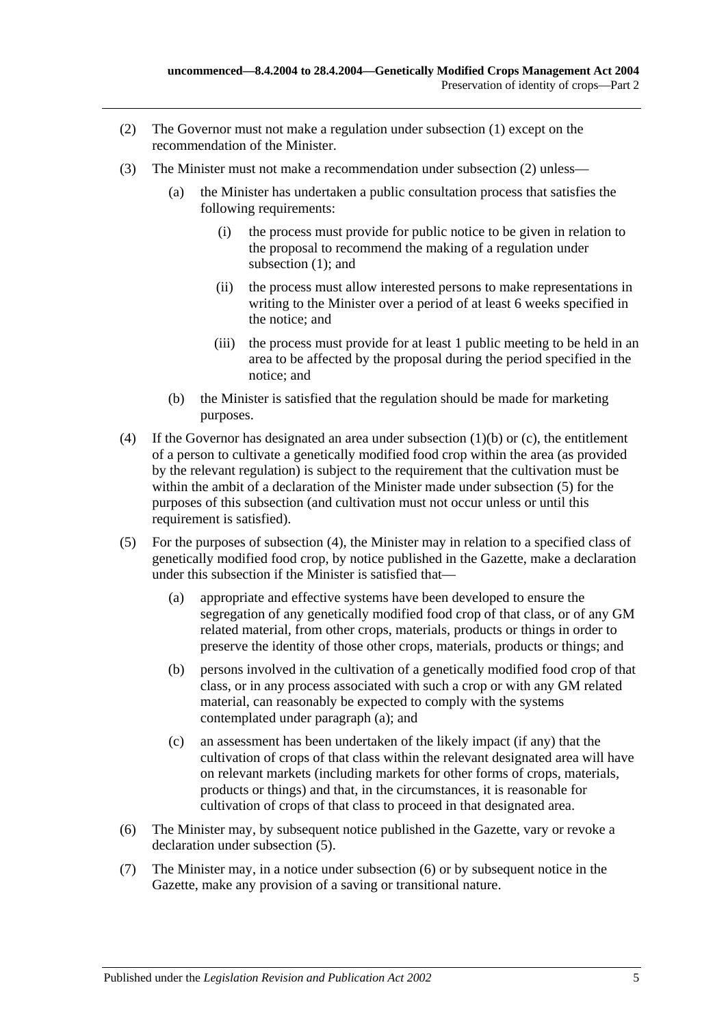- <span id="page-4-0"></span>(2) The Governor must not make a regulation under [subsection](#page-3-4) (1) except on the recommendation of the Minister.
- <span id="page-4-5"></span>(3) The Minister must not make a recommendation under [subsection](#page-4-0) (2) unless—
	- (a) the Minister has undertaken a public consultation process that satisfies the following requirements:
		- (i) the process must provide for public notice to be given in relation to the proposal to recommend the making of a regulation under [subsection](#page-3-4) (1); and
		- (ii) the process must allow interested persons to make representations in writing to the Minister over a period of at least 6 weeks specified in the notice; and
		- (iii) the process must provide for at least 1 public meeting to be held in an area to be affected by the proposal during the period specified in the notice; and
	- (b) the Minister is satisfied that the regulation should be made for marketing purposes.
- <span id="page-4-2"></span>(4) If the Governor has designated an area under [subsection](#page-3-5) (1)(b) or [\(c\),](#page-3-6) the entitlement of a person to cultivate a genetically modified food crop within the area (as provided by the relevant regulation) is subject to the requirement that the cultivation must be within the ambit of a declaration of the Minister made under [subsection](#page-4-1) (5) for the purposes of this subsection (and cultivation must not occur unless or until this requirement is satisfied).
- <span id="page-4-3"></span><span id="page-4-1"></span>(5) For the purposes of [subsection](#page-4-2) (4), the Minister may in relation to a specified class of genetically modified food crop, by notice published in the Gazette, make a declaration under this subsection if the Minister is satisfied that—
	- (a) appropriate and effective systems have been developed to ensure the segregation of any genetically modified food crop of that class, or of any GM related material, from other crops, materials, products or things in order to preserve the identity of those other crops, materials, products or things; and
	- (b) persons involved in the cultivation of a genetically modified food crop of that class, or in any process associated with such a crop or with any GM related material, can reasonably be expected to comply with the systems contemplated under [paragraph](#page-4-3) (a); and
	- (c) an assessment has been undertaken of the likely impact (if any) that the cultivation of crops of that class within the relevant designated area will have on relevant markets (including markets for other forms of crops, materials, products or things) and that, in the circumstances, it is reasonable for cultivation of crops of that class to proceed in that designated area.
- <span id="page-4-4"></span>(6) The Minister may, by subsequent notice published in the Gazette, vary or revoke a declaration under [subsection](#page-4-1) (5).
- (7) The Minister may, in a notice under [subsection](#page-4-4) (6) or by subsequent notice in the Gazette, make any provision of a saving or transitional nature.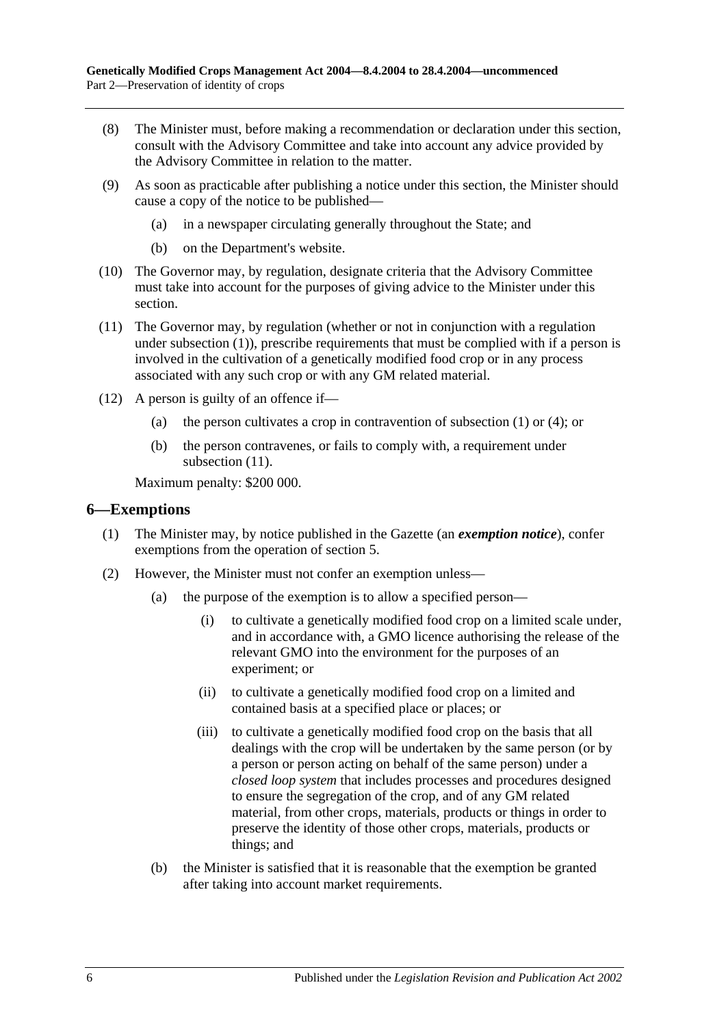- (8) The Minister must, before making a recommendation or declaration under this section, consult with the Advisory Committee and take into account any advice provided by the Advisory Committee in relation to the matter.
- (9) As soon as practicable after publishing a notice under this section, the Minister should cause a copy of the notice to be published—
	- (a) in a newspaper circulating generally throughout the State; and
	- (b) on the Department's website.
- (10) The Governor may, by regulation, designate criteria that the Advisory Committee must take into account for the purposes of giving advice to the Minister under this section.
- <span id="page-5-1"></span>(11) The Governor may, by regulation (whether or not in conjunction with a regulation under [subsection](#page-3-4) (1)), prescribe requirements that must be complied with if a person is involved in the cultivation of a genetically modified food crop or in any process associated with any such crop or with any GM related material.
- (12) A person is guilty of an offence if—
	- (a) the person cultivates a crop in contravention of [subsection](#page-3-4) (1) or [\(4\);](#page-4-2) or
	- (b) the person contravenes, or fails to comply with, a requirement under [subsection](#page-5-1)  $(11)$ .

Maximum penalty: \$200 000.

#### <span id="page-5-0"></span>**6—Exemptions**

- (1) The Minister may, by notice published in the Gazette (an *exemption notice*), confer exemptions from the operation of [section](#page-3-2) 5.
- <span id="page-5-3"></span><span id="page-5-2"></span>(2) However, the Minister must not confer an exemption unless—
	- (a) the purpose of the exemption is to allow a specified person—
		- (i) to cultivate a genetically modified food crop on a limited scale under, and in accordance with, a GMO licence authorising the release of the relevant GMO into the environment for the purposes of an experiment; or
		- (ii) to cultivate a genetically modified food crop on a limited and contained basis at a specified place or places; or
		- (iii) to cultivate a genetically modified food crop on the basis that all dealings with the crop will be undertaken by the same person (or by a person or person acting on behalf of the same person) under a *closed loop system* that includes processes and procedures designed to ensure the segregation of the crop, and of any GM related material, from other crops, materials, products or things in order to preserve the identity of those other crops, materials, products or things; and
	- (b) the Minister is satisfied that it is reasonable that the exemption be granted after taking into account market requirements.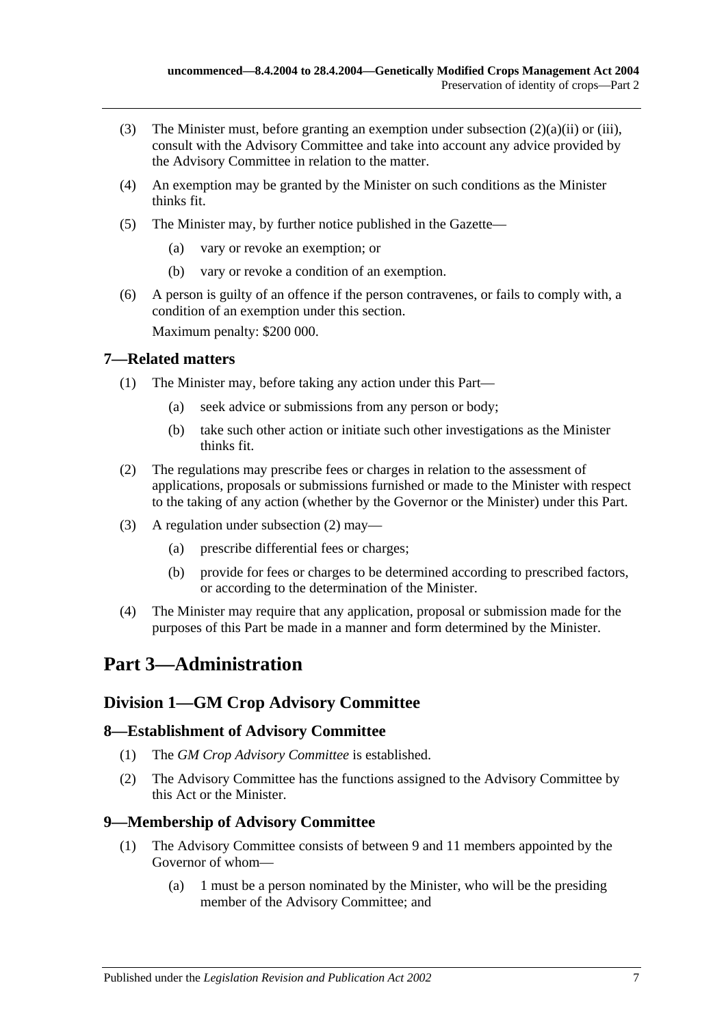- (3) The Minister must, before granting an exemption under [subsection](#page-5-2)  $(2)(a)(ii)$  or [\(iii\),](#page-5-3) consult with the Advisory Committee and take into account any advice provided by the Advisory Committee in relation to the matter.
- (4) An exemption may be granted by the Minister on such conditions as the Minister thinks fit.
- (5) The Minister may, by further notice published in the Gazette—
	- (a) vary or revoke an exemption; or
	- (b) vary or revoke a condition of an exemption.
- (6) A person is guilty of an offence if the person contravenes, or fails to comply with, a condition of an exemption under this section.

Maximum penalty: \$200 000.

#### <span id="page-6-0"></span>**7—Related matters**

- (1) The Minister may, before taking any action under this Part—
	- (a) seek advice or submissions from any person or body;
	- (b) take such other action or initiate such other investigations as the Minister thinks fit.
- <span id="page-6-5"></span>(2) The regulations may prescribe fees or charges in relation to the assessment of applications, proposals or submissions furnished or made to the Minister with respect to the taking of any action (whether by the Governor or the Minister) under this Part.
- (3) A regulation under [subsection](#page-6-5) (2) may—
	- (a) prescribe differential fees or charges;
	- (b) provide for fees or charges to be determined according to prescribed factors, or according to the determination of the Minister.
- (4) The Minister may require that any application, proposal or submission made for the purposes of this Part be made in a manner and form determined by the Minister.

# <span id="page-6-1"></span>**Part 3—Administration**

### <span id="page-6-2"></span>**Division 1—GM Crop Advisory Committee**

#### <span id="page-6-3"></span>**8—Establishment of Advisory Committee**

- (1) The *GM Crop Advisory Committee* is established.
- (2) The Advisory Committee has the functions assigned to the Advisory Committee by this Act or the Minister.

### <span id="page-6-4"></span>**9—Membership of Advisory Committee**

- (1) The Advisory Committee consists of between 9 and 11 members appointed by the Governor of whom—
	- (a) 1 must be a person nominated by the Minister, who will be the presiding member of the Advisory Committee; and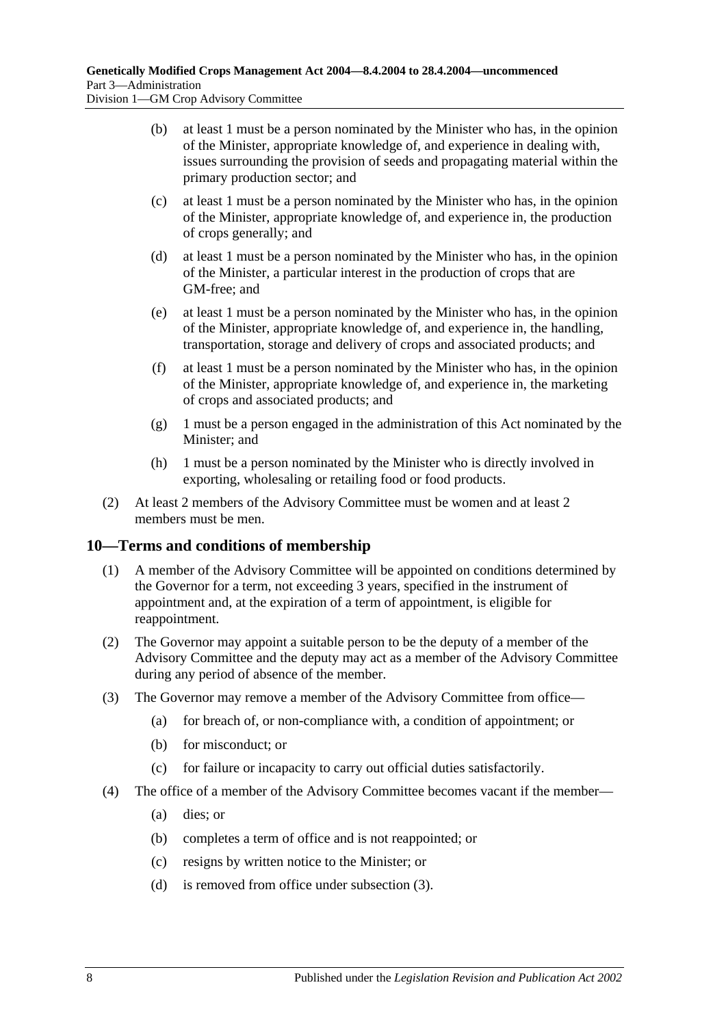- (b) at least 1 must be a person nominated by the Minister who has, in the opinion of the Minister, appropriate knowledge of, and experience in dealing with, issues surrounding the provision of seeds and propagating material within the primary production sector; and
- (c) at least 1 must be a person nominated by the Minister who has, in the opinion of the Minister, appropriate knowledge of, and experience in, the production of crops generally; and
- (d) at least 1 must be a person nominated by the Minister who has, in the opinion of the Minister, a particular interest in the production of crops that are GM-free; and
- (e) at least 1 must be a person nominated by the Minister who has, in the opinion of the Minister, appropriate knowledge of, and experience in, the handling, transportation, storage and delivery of crops and associated products; and
- (f) at least 1 must be a person nominated by the Minister who has, in the opinion of the Minister, appropriate knowledge of, and experience in, the marketing of crops and associated products; and
- (g) 1 must be a person engaged in the administration of this Act nominated by the Minister; and
- (h) 1 must be a person nominated by the Minister who is directly involved in exporting, wholesaling or retailing food or food products.
- (2) At least 2 members of the Advisory Committee must be women and at least 2 members must be men.

### <span id="page-7-0"></span>**10—Terms and conditions of membership**

- (1) A member of the Advisory Committee will be appointed on conditions determined by the Governor for a term, not exceeding 3 years, specified in the instrument of appointment and, at the expiration of a term of appointment, is eligible for reappointment.
- (2) The Governor may appoint a suitable person to be the deputy of a member of the Advisory Committee and the deputy may act as a member of the Advisory Committee during any period of absence of the member.
- <span id="page-7-1"></span>(3) The Governor may remove a member of the Advisory Committee from office—
	- (a) for breach of, or non-compliance with, a condition of appointment; or
	- (b) for misconduct; or
	- (c) for failure or incapacity to carry out official duties satisfactorily.
- (4) The office of a member of the Advisory Committee becomes vacant if the member—
	- (a) dies; or
	- (b) completes a term of office and is not reappointed; or
	- (c) resigns by written notice to the Minister; or
	- (d) is removed from office under [subsection](#page-7-1) (3).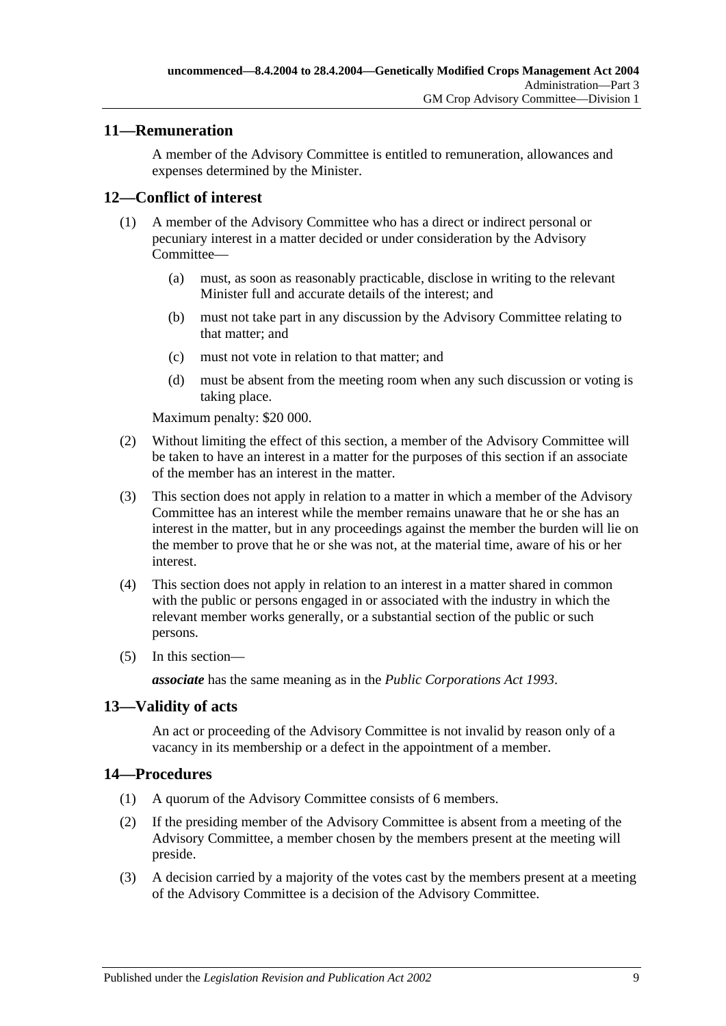### <span id="page-8-0"></span>**11—Remuneration**

A member of the Advisory Committee is entitled to remuneration, allowances and expenses determined by the Minister.

### <span id="page-8-1"></span>**12—Conflict of interest**

- (1) A member of the Advisory Committee who has a direct or indirect personal or pecuniary interest in a matter decided or under consideration by the Advisory Committee—
	- (a) must, as soon as reasonably practicable, disclose in writing to the relevant Minister full and accurate details of the interest; and
	- (b) must not take part in any discussion by the Advisory Committee relating to that matter; and
	- (c) must not vote in relation to that matter; and
	- (d) must be absent from the meeting room when any such discussion or voting is taking place.

Maximum penalty: \$20 000.

- (2) Without limiting the effect of this section, a member of the Advisory Committee will be taken to have an interest in a matter for the purposes of this section if an associate of the member has an interest in the matter.
- (3) This section does not apply in relation to a matter in which a member of the Advisory Committee has an interest while the member remains unaware that he or she has an interest in the matter, but in any proceedings against the member the burden will lie on the member to prove that he or she was not, at the material time, aware of his or her interest.
- (4) This section does not apply in relation to an interest in a matter shared in common with the public or persons engaged in or associated with the industry in which the relevant member works generally, or a substantial section of the public or such persons.
- (5) In this section—

*associate* has the same meaning as in the *[Public Corporations Act](http://www.legislation.sa.gov.au/index.aspx?action=legref&type=act&legtitle=Public%20Corporations%20Act%201993) 1993*.

### <span id="page-8-2"></span>**13—Validity of acts**

An act or proceeding of the Advisory Committee is not invalid by reason only of a vacancy in its membership or a defect in the appointment of a member.

### <span id="page-8-3"></span>**14—Procedures**

- (1) A quorum of the Advisory Committee consists of 6 members.
- (2) If the presiding member of the Advisory Committee is absent from a meeting of the Advisory Committee, a member chosen by the members present at the meeting will preside.
- (3) A decision carried by a majority of the votes cast by the members present at a meeting of the Advisory Committee is a decision of the Advisory Committee.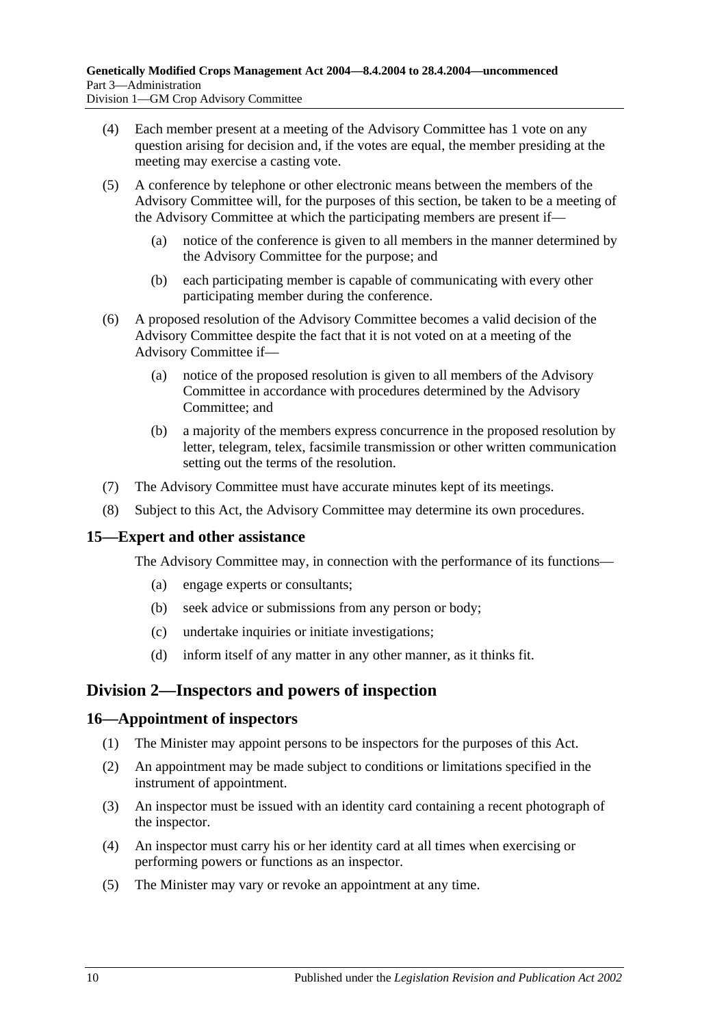- (4) Each member present at a meeting of the Advisory Committee has 1 vote on any question arising for decision and, if the votes are equal, the member presiding at the meeting may exercise a casting vote.
- (5) A conference by telephone or other electronic means between the members of the Advisory Committee will, for the purposes of this section, be taken to be a meeting of the Advisory Committee at which the participating members are present if—
	- (a) notice of the conference is given to all members in the manner determined by the Advisory Committee for the purpose; and
	- (b) each participating member is capable of communicating with every other participating member during the conference.
- (6) A proposed resolution of the Advisory Committee becomes a valid decision of the Advisory Committee despite the fact that it is not voted on at a meeting of the Advisory Committee if—
	- (a) notice of the proposed resolution is given to all members of the Advisory Committee in accordance with procedures determined by the Advisory Committee; and
	- (b) a majority of the members express concurrence in the proposed resolution by letter, telegram, telex, facsimile transmission or other written communication setting out the terms of the resolution.
- (7) The Advisory Committee must have accurate minutes kept of its meetings.
- (8) Subject to this Act, the Advisory Committee may determine its own procedures.

#### <span id="page-9-0"></span>**15—Expert and other assistance**

The Advisory Committee may, in connection with the performance of its functions—

- (a) engage experts or consultants;
- (b) seek advice or submissions from any person or body;
- (c) undertake inquiries or initiate investigations;
- (d) inform itself of any matter in any other manner, as it thinks fit.

### <span id="page-9-1"></span>**Division 2—Inspectors and powers of inspection**

#### <span id="page-9-2"></span>**16—Appointment of inspectors**

- (1) The Minister may appoint persons to be inspectors for the purposes of this Act.
- (2) An appointment may be made subject to conditions or limitations specified in the instrument of appointment.
- (3) An inspector must be issued with an identity card containing a recent photograph of the inspector.
- (4) An inspector must carry his or her identity card at all times when exercising or performing powers or functions as an inspector.
- (5) The Minister may vary or revoke an appointment at any time.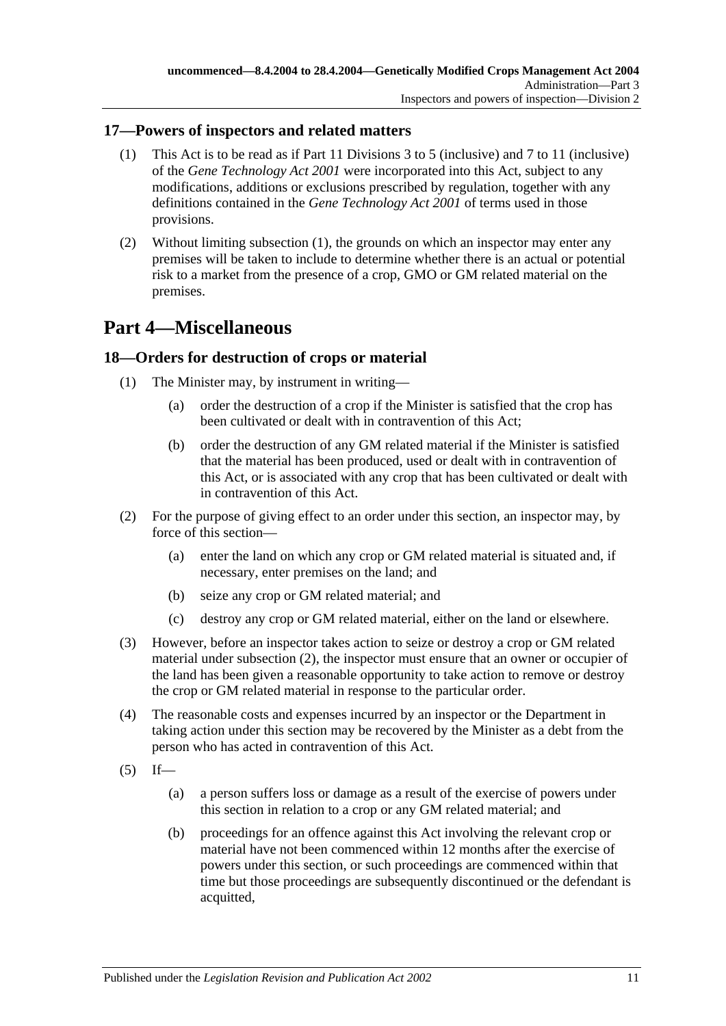### <span id="page-10-3"></span><span id="page-10-0"></span>**17—Powers of inspectors and related matters**

- (1) This Act is to be read as if Part 11 Divisions 3 to 5 (inclusive) and 7 to 11 (inclusive) of the *[Gene Technology Act](http://www.legislation.sa.gov.au/index.aspx?action=legref&type=act&legtitle=Gene%20Technology%20Act%202001) 2001* were incorporated into this Act, subject to any modifications, additions or exclusions prescribed by regulation, together with any definitions contained in the *[Gene Technology Act](http://www.legislation.sa.gov.au/index.aspx?action=legref&type=act&legtitle=Gene%20Technology%20Act%202001) 2001* of terms used in those provisions.
- (2) Without limiting [subsection](#page-10-3) (1), the grounds on which an inspector may enter any premises will be taken to include to determine whether there is an actual or potential risk to a market from the presence of a crop, GMO or GM related material on the premises.

# <span id="page-10-1"></span>**Part 4—Miscellaneous**

### <span id="page-10-2"></span>**18—Orders for destruction of crops or material**

- (1) The Minister may, by instrument in writing—
	- (a) order the destruction of a crop if the Minister is satisfied that the crop has been cultivated or dealt with in contravention of this Act;
	- (b) order the destruction of any GM related material if the Minister is satisfied that the material has been produced, used or dealt with in contravention of this Act, or is associated with any crop that has been cultivated or dealt with in contravention of this Act.
- <span id="page-10-4"></span>(2) For the purpose of giving effect to an order under this section, an inspector may, by force of this section—
	- (a) enter the land on which any crop or GM related material is situated and, if necessary, enter premises on the land; and
	- (b) seize any crop or GM related material; and
	- (c) destroy any crop or GM related material, either on the land or elsewhere.
- (3) However, before an inspector takes action to seize or destroy a crop or GM related material under [subsection](#page-10-4) (2), the inspector must ensure that an owner or occupier of the land has been given a reasonable opportunity to take action to remove or destroy the crop or GM related material in response to the particular order.
- (4) The reasonable costs and expenses incurred by an inspector or the Department in taking action under this section may be recovered by the Minister as a debt from the person who has acted in contravention of this Act.
- <span id="page-10-5"></span> $(5)$  If—
	- (a) a person suffers loss or damage as a result of the exercise of powers under this section in relation to a crop or any GM related material; and
	- (b) proceedings for an offence against this Act involving the relevant crop or material have not been commenced within 12 months after the exercise of powers under this section, or such proceedings are commenced within that time but those proceedings are subsequently discontinued or the defendant is acquitted,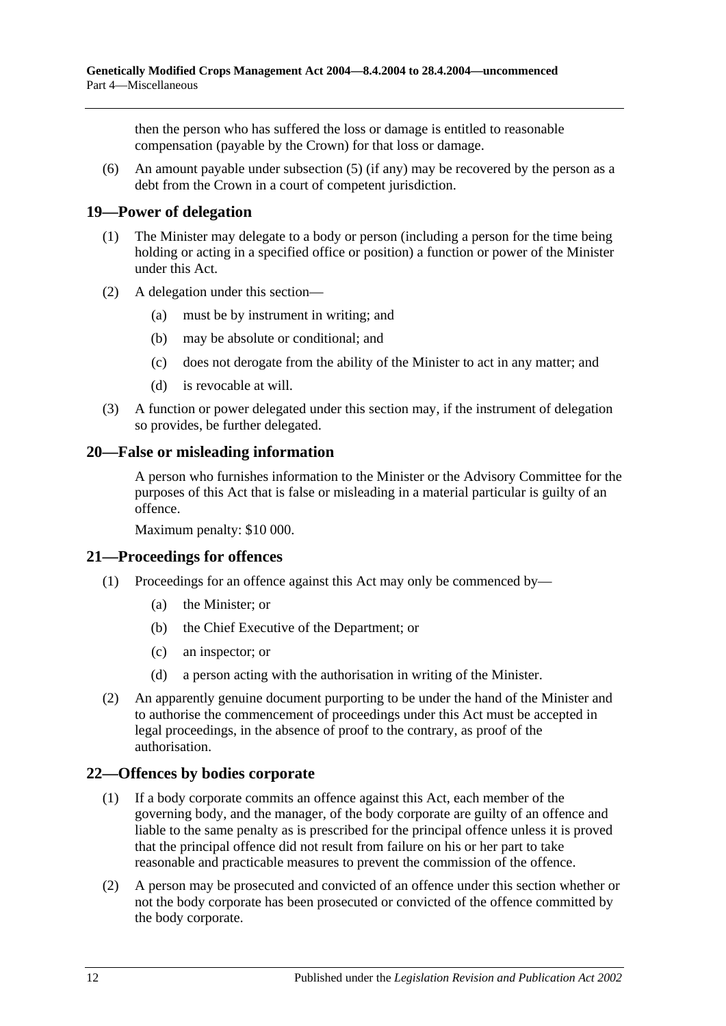then the person who has suffered the loss or damage is entitled to reasonable compensation (payable by the Crown) for that loss or damage.

(6) An amount payable under [subsection](#page-10-5) (5) (if any) may be recovered by the person as a debt from the Crown in a court of competent jurisdiction.

### <span id="page-11-0"></span>**19—Power of delegation**

- (1) The Minister may delegate to a body or person (including a person for the time being holding or acting in a specified office or position) a function or power of the Minister under this Act.
- (2) A delegation under this section—
	- (a) must be by instrument in writing; and
	- (b) may be absolute or conditional; and
	- (c) does not derogate from the ability of the Minister to act in any matter; and
	- (d) is revocable at will.
- (3) A function or power delegated under this section may, if the instrument of delegation so provides, be further delegated.

### <span id="page-11-1"></span>**20—False or misleading information**

A person who furnishes information to the Minister or the Advisory Committee for the purposes of this Act that is false or misleading in a material particular is guilty of an offence.

Maximum penalty: \$10 000.

### <span id="page-11-2"></span>**21—Proceedings for offences**

- (1) Proceedings for an offence against this Act may only be commenced by—
	- (a) the Minister; or
	- (b) the Chief Executive of the Department; or
	- (c) an inspector; or
	- (d) a person acting with the authorisation in writing of the Minister.
- (2) An apparently genuine document purporting to be under the hand of the Minister and to authorise the commencement of proceedings under this Act must be accepted in legal proceedings, in the absence of proof to the contrary, as proof of the authorisation.

### <span id="page-11-3"></span>**22—Offences by bodies corporate**

- (1) If a body corporate commits an offence against this Act, each member of the governing body, and the manager, of the body corporate are guilty of an offence and liable to the same penalty as is prescribed for the principal offence unless it is proved that the principal offence did not result from failure on his or her part to take reasonable and practicable measures to prevent the commission of the offence.
- (2) A person may be prosecuted and convicted of an offence under this section whether or not the body corporate has been prosecuted or convicted of the offence committed by the body corporate.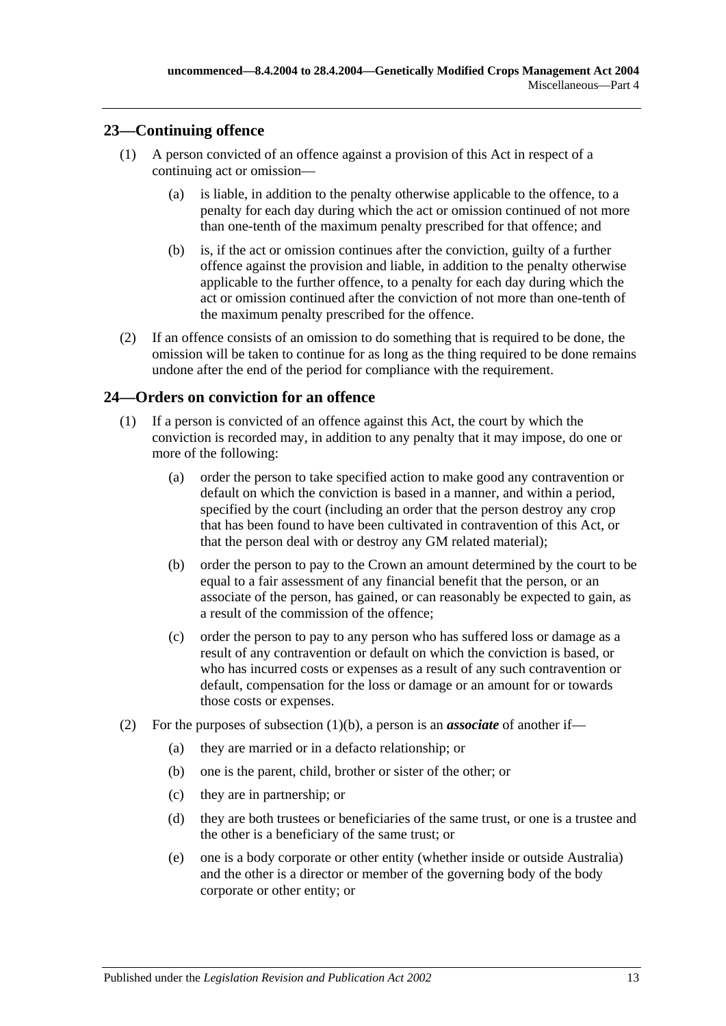### <span id="page-12-0"></span>**23—Continuing offence**

- (1) A person convicted of an offence against a provision of this Act in respect of a continuing act or omission—
	- (a) is liable, in addition to the penalty otherwise applicable to the offence, to a penalty for each day during which the act or omission continued of not more than one-tenth of the maximum penalty prescribed for that offence; and
	- (b) is, if the act or omission continues after the conviction, guilty of a further offence against the provision and liable, in addition to the penalty otherwise applicable to the further offence, to a penalty for each day during which the act or omission continued after the conviction of not more than one-tenth of the maximum penalty prescribed for the offence.
- (2) If an offence consists of an omission to do something that is required to be done, the omission will be taken to continue for as long as the thing required to be done remains undone after the end of the period for compliance with the requirement.

### <span id="page-12-1"></span>**24—Orders on conviction for an offence**

- <span id="page-12-2"></span>(1) If a person is convicted of an offence against this Act, the court by which the conviction is recorded may, in addition to any penalty that it may impose, do one or more of the following:
	- (a) order the person to take specified action to make good any contravention or default on which the conviction is based in a manner, and within a period, specified by the court (including an order that the person destroy any crop that has been found to have been cultivated in contravention of this Act, or that the person deal with or destroy any GM related material);
	- (b) order the person to pay to the Crown an amount determined by the court to be equal to a fair assessment of any financial benefit that the person, or an associate of the person, has gained, or can reasonably be expected to gain, as a result of the commission of the offence;
	- (c) order the person to pay to any person who has suffered loss or damage as a result of any contravention or default on which the conviction is based, or who has incurred costs or expenses as a result of any such contravention or default, compensation for the loss or damage or an amount for or towards those costs or expenses.
- <span id="page-12-3"></span>(2) For the purposes of [subsection](#page-12-2)  $(1)(b)$ , a person is an *associate* of another if—
	- (a) they are married or in a defacto relationship; or
	- (b) one is the parent, child, brother or sister of the other; or
	- (c) they are in partnership; or
	- (d) they are both trustees or beneficiaries of the same trust, or one is a trustee and the other is a beneficiary of the same trust; or
	- (e) one is a body corporate or other entity (whether inside or outside Australia) and the other is a director or member of the governing body of the body corporate or other entity; or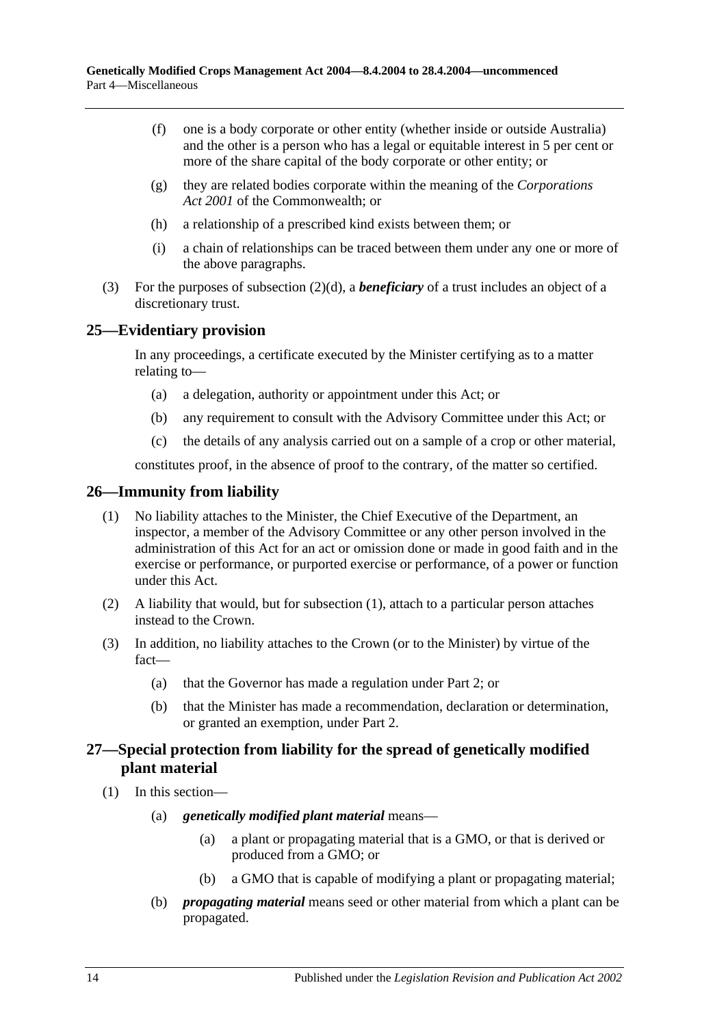- (f) one is a body corporate or other entity (whether inside or outside Australia) and the other is a person who has a legal or equitable interest in 5 per cent or more of the share capital of the body corporate or other entity; or
- (g) they are related bodies corporate within the meaning of the *Corporations Act 2001* of the Commonwealth; or
- (h) a relationship of a prescribed kind exists between them; or
- (i) a chain of relationships can be traced between them under any one or more of the above paragraphs.
- (3) For the purposes of [subsection](#page-12-3) (2)(d), a *beneficiary* of a trust includes an object of a discretionary trust.

#### <span id="page-13-0"></span>**25—Evidentiary provision**

In any proceedings, a certificate executed by the Minister certifying as to a matter relating to—

- (a) a delegation, authority or appointment under this Act; or
- (b) any requirement to consult with the Advisory Committee under this Act; or
- (c) the details of any analysis carried out on a sample of a crop or other material,

constitutes proof, in the absence of proof to the contrary, of the matter so certified.

#### <span id="page-13-3"></span><span id="page-13-1"></span>**26—Immunity from liability**

- (1) No liability attaches to the Minister, the Chief Executive of the Department, an inspector, a member of the Advisory Committee or any other person involved in the administration of this Act for an act or omission done or made in good faith and in the exercise or performance, or purported exercise or performance, of a power or function under this Act.
- (2) A liability that would, but for [subsection](#page-13-3) (1), attach to a particular person attaches instead to the Crown.
- (3) In addition, no liability attaches to the Crown (or to the Minister) by virtue of the fact—
	- (a) that the Governor has made a regulation under [Part 2;](#page-3-1) or
	- (b) that the Minister has made a recommendation, declaration or determination, or granted an exemption, under [Part 2.](#page-3-1)

### <span id="page-13-2"></span>**27—Special protection from liability for the spread of genetically modified plant material**

- (1) In this section—
	- (a) *genetically modified plant material* means—
		- (a) a plant or propagating material that is a GMO, or that is derived or produced from a GMO; or
		- (b) a GMO that is capable of modifying a plant or propagating material;
	- (b) *propagating material* means seed or other material from which a plant can be propagated.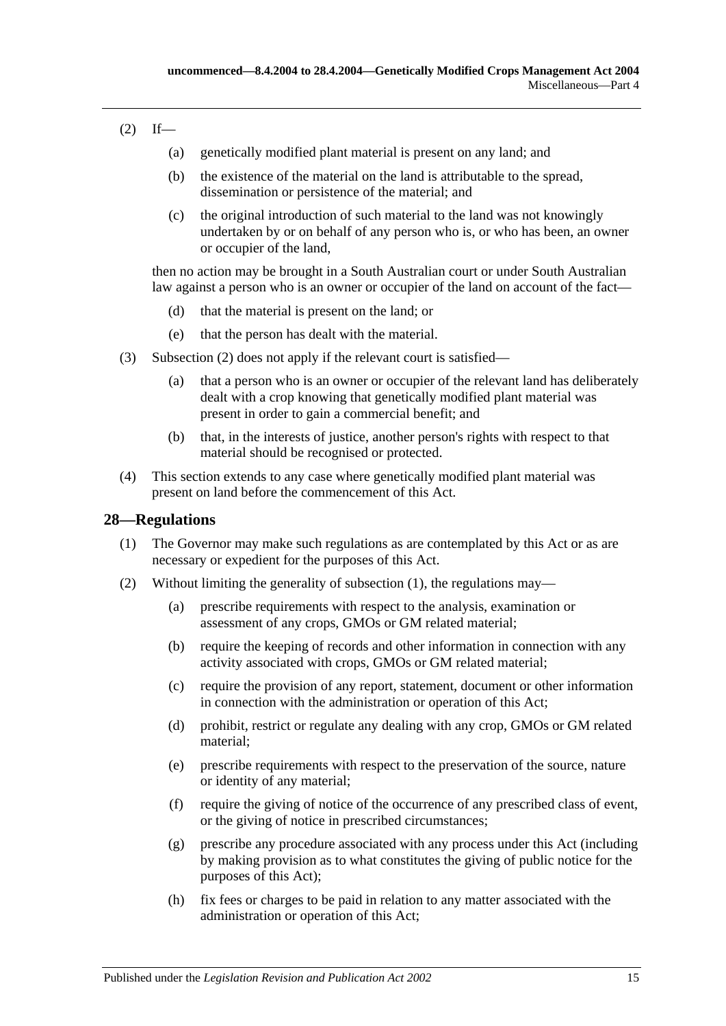### <span id="page-14-1"></span> $(2)$  If—

- (a) genetically modified plant material is present on any land; and
- (b) the existence of the material on the land is attributable to the spread, dissemination or persistence of the material; and
- (c) the original introduction of such material to the land was not knowingly undertaken by or on behalf of any person who is, or who has been, an owner or occupier of the land,

then no action may be brought in a South Australian court or under South Australian law against a person who is an owner or occupier of the land on account of the fact—

- (d) that the material is present on the land; or
- (e) that the person has dealt with the material.
- (3) [Subsection](#page-14-1) (2) does not apply if the relevant court is satisfied—
	- (a) that a person who is an owner or occupier of the relevant land has deliberately dealt with a crop knowing that genetically modified plant material was present in order to gain a commercial benefit; and
	- (b) that, in the interests of justice, another person's rights with respect to that material should be recognised or protected.
- (4) This section extends to any case where genetically modified plant material was present on land before the commencement of this Act.

### <span id="page-14-2"></span><span id="page-14-0"></span>**28—Regulations**

- (1) The Governor may make such regulations as are contemplated by this Act or as are necessary or expedient for the purposes of this Act.
- (2) Without limiting the generality of [subsection](#page-14-2) (1), the regulations may—
	- (a) prescribe requirements with respect to the analysis, examination or assessment of any crops, GMOs or GM related material;
	- (b) require the keeping of records and other information in connection with any activity associated with crops, GMOs or GM related material;
	- (c) require the provision of any report, statement, document or other information in connection with the administration or operation of this Act;
	- (d) prohibit, restrict or regulate any dealing with any crop, GMOs or GM related material;
	- (e) prescribe requirements with respect to the preservation of the source, nature or identity of any material;
	- (f) require the giving of notice of the occurrence of any prescribed class of event, or the giving of notice in prescribed circumstances;
	- (g) prescribe any procedure associated with any process under this Act (including by making provision as to what constitutes the giving of public notice for the purposes of this Act);
	- (h) fix fees or charges to be paid in relation to any matter associated with the administration or operation of this Act;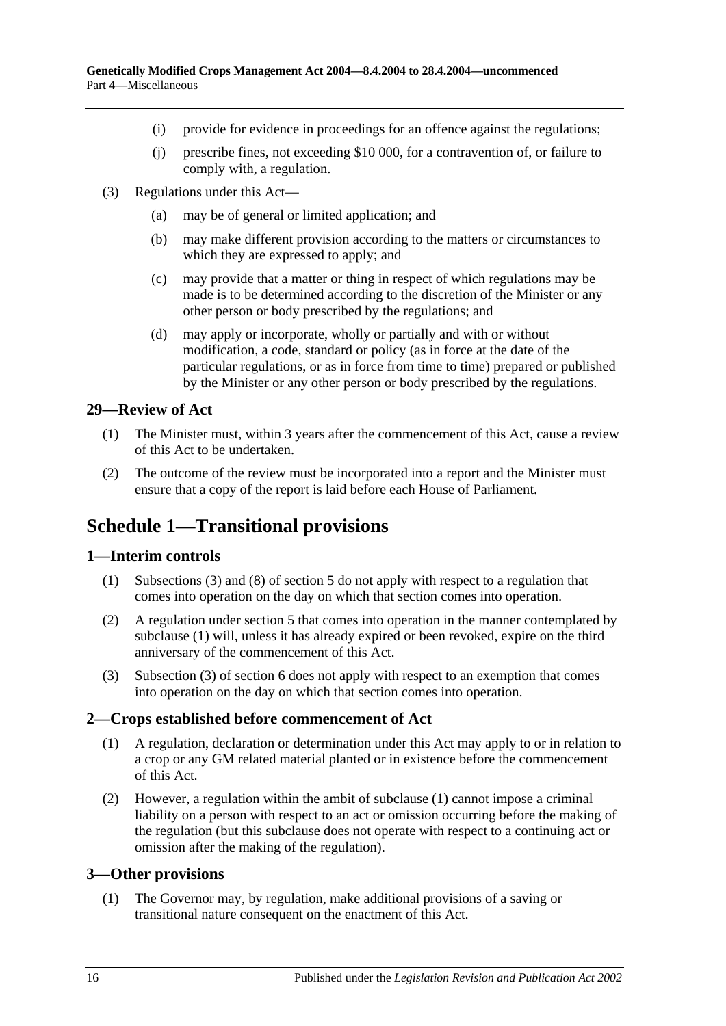- (i) provide for evidence in proceedings for an offence against the regulations;
- (j) prescribe fines, not exceeding \$10 000, for a contravention of, or failure to comply with, a regulation.
- (3) Regulations under this Act—
	- (a) may be of general or limited application; and
	- (b) may make different provision according to the matters or circumstances to which they are expressed to apply; and
	- (c) may provide that a matter or thing in respect of which regulations may be made is to be determined according to the discretion of the Minister or any other person or body prescribed by the regulations; and
	- (d) may apply or incorporate, wholly or partially and with or without modification, a code, standard or policy (as in force at the date of the particular regulations, or as in force from time to time) prepared or published by the Minister or any other person or body prescribed by the regulations.

### <span id="page-15-0"></span>**29—Review of Act**

- (1) The Minister must, within 3 years after the commencement of this Act, cause a review of this Act to be undertaken.
- (2) The outcome of the review must be incorporated into a report and the Minister must ensure that a copy of the report is laid before each House of Parliament.

# <span id="page-15-1"></span>**Schedule 1—Transitional provisions**

#### <span id="page-15-5"></span><span id="page-15-2"></span>**1—Interim controls**

- (1) [Subsections](#page-4-5) (3) and (8) of [section](#page-3-2) 5 do not apply with respect to a regulation that comes into operation on the day on which that section comes into operation.
- (2) A regulation under [section](#page-3-2) 5 that comes into operation in the manner contemplated by [subclause](#page-15-5) (1) will, unless it has already expired or been revoked, expire on the third anniversary of the commencement of this Act.
- (3) Subsection (3) of section 6 does not apply with respect to an exemption that comes into operation on the day on which that section comes into operation.

#### <span id="page-15-6"></span><span id="page-15-3"></span>**2—Crops established before commencement of Act**

- (1) A regulation, declaration or determination under this Act may apply to or in relation to a crop or any GM related material planted or in existence before the commencement of this Act.
- (2) However, a regulation within the ambit of [subclause](#page-15-6) (1) cannot impose a criminal liability on a person with respect to an act or omission occurring before the making of the regulation (but this subclause does not operate with respect to a continuing act or omission after the making of the regulation).

### <span id="page-15-7"></span><span id="page-15-4"></span>**3—Other provisions**

(1) The Governor may, by regulation, make additional provisions of a saving or transitional nature consequent on the enactment of this Act.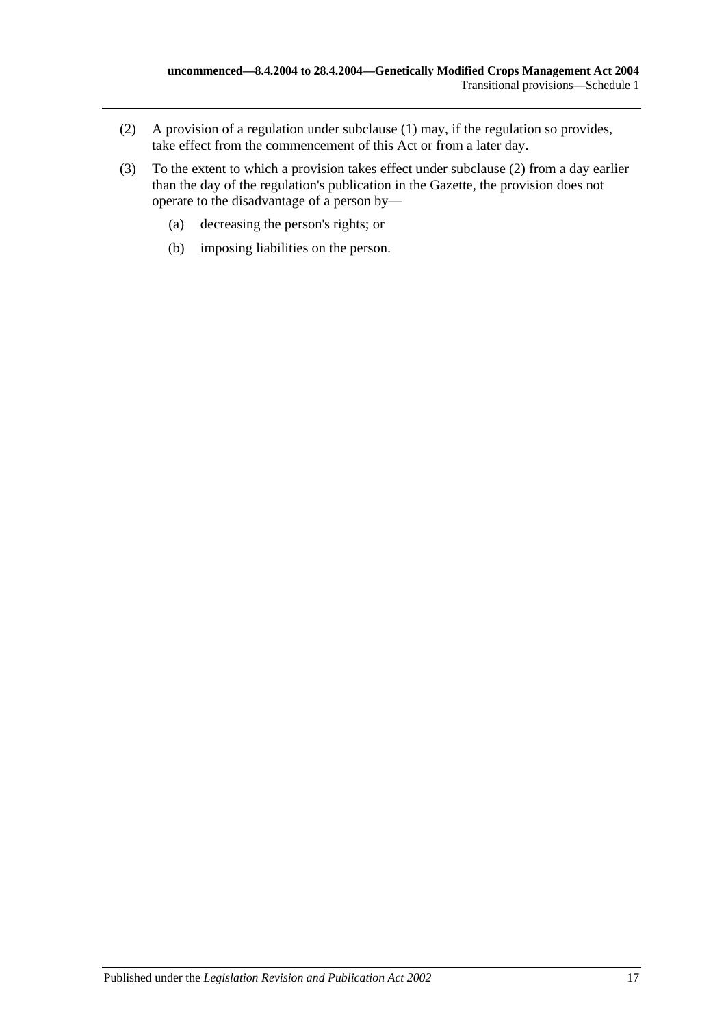- <span id="page-16-0"></span>(2) A provision of a regulation under [subclause](#page-15-7) (1) may, if the regulation so provides, take effect from the commencement of this Act or from a later day.
- (3) To the extent to which a provision takes effect under [subclause](#page-16-0) (2) from a day earlier than the day of the regulation's publication in the Gazette, the provision does not operate to the disadvantage of a person by—
	- (a) decreasing the person's rights; or
	- (b) imposing liabilities on the person.